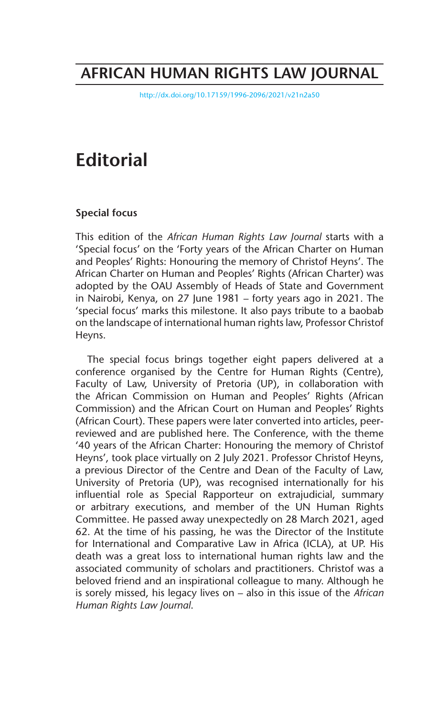## **AFRICAN HUMAN RIGHTS LAW JOURNAL**

http://dx.doi.org/10.17159/1996-2096/2021/v21n2a50

# **Editorial**

## **Special focus**

This edition of the *African Human Rights Law Journal* starts with a 'Special focus' on the 'Forty years of the African Charter on Human and Peoples' Rights: Honouring the memory of Christof Heyns'. The African Charter on Human and Peoples' Rights (African Charter) was adopted by the OAU Assembly of Heads of State and Government in Nairobi, Kenya, on 27 June 1981 – forty years ago in 2021. The 'special focus' marks this milestone. It also pays tribute to a baobab on the landscape of international human rights law, Professor Christof Heyns.

The special focus brings together eight papers delivered at a conference organised by the Centre for Human Rights (Centre), Faculty of Law, University of Pretoria (UP), in collaboration with the African Commission on Human and Peoples' Rights (African Commission) and the African Court on Human and Peoples' Rights (African Court). These papers were later converted into articles, peerreviewed and are published here. The Conference, with the theme '40 years of the African Charter: Honouring the memory of Christof Heyns', took place virtually on 2 July 2021. Professor Christof Heyns, a previous Director of the Centre and Dean of the Faculty of Law, University of Pretoria (UP), was recognised internationally for his influential role as Special Rapporteur on extrajudicial, summary or arbitrary executions, and member of the UN Human Rights Committee. He passed away unexpectedly on 28 March 2021, aged 62. At the time of his passing, he was the Director of the Institute for International and Comparative Law in Africa (ICLA), at UP. His death was a great loss to international human rights law and the associated community of scholars and practitioners. Christof was a beloved friend and an inspirational colleague to many. Although he is sorely missed, his legacy lives on – also in this issue of the *African Human Rights Law Journal*.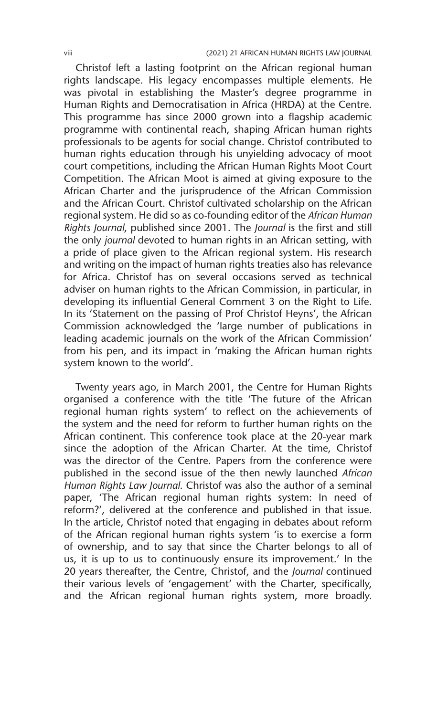Christof left a lasting footprint on the African regional human rights landscape. His legacy encompasses multiple elements. He was pivotal in establishing the Master's degree programme in Human Rights and Democratisation in Africa (HRDA) at the Centre. This programme has since 2000 grown into a flagship academic programme with continental reach, shaping African human rights professionals to be agents for social change. Christof contributed to human rights education through his unyielding advocacy of moot court competitions, including the African Human Rights Moot Court Competition. The African Moot is aimed at giving exposure to the African Charter and the jurisprudence of the African Commission and the African Court. Christof cultivated scholarship on the African regional system. He did so as co-founding editor of the *African Human Rights Journal*, published since 2001. The *Journal* is the first and still the only *journal* devoted to human rights in an African setting, with a pride of place given to the African regional system. His research and writing on the impact of human rights treaties also has relevance for Africa. Christof has on several occasions served as technical adviser on human rights to the African Commission, in particular, in developing its influential General Comment 3 on the Right to Life. In its 'Statement on the passing of Prof Christof Heyns', the African Commission acknowledged the 'large number of publications in leading academic journals on the work of the African Commission' from his pen, and its impact in 'making the African human rights system known to the world'.

Twenty years ago, in March 2001, the Centre for Human Rights organised a conference with the title 'The future of the African regional human rights system' to reflect on the achievements of the system and the need for reform to further human rights on the African continent. This conference took place at the 20-year mark since the adoption of the African Charter. At the time, Christof was the director of the Centre. Papers from the conference were published in the second issue of the then newly launched *African Human Rights Law Journal*. Christof was also the author of a seminal paper, 'The African regional human rights system: In need of reform?', delivered at the conference and published in that issue. In the article, Christof noted that engaging in debates about reform of the African regional human rights system 'is to exercise a form of ownership, and to say that since the Charter belongs to all of us, it is up to us to continuously ensure its improvement.' In the 20 years thereafter, the Centre, Christof, and the *Journal* continued their various levels of 'engagement' with the Charter, specifically, and the African regional human rights system, more broadly.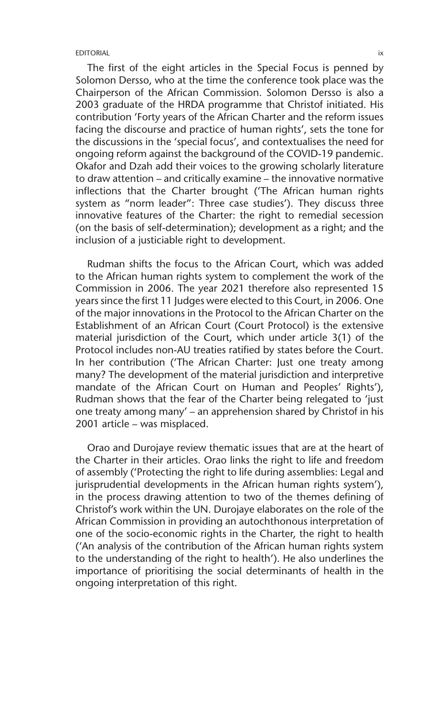**EDITORIAL** is a set of the set of the set of the set of the set of the set of the set of the set of the set of the set of the set of the set of the set of the set of the set of the set of the set of the set of the set of

The first of the eight articles in the Special Focus is penned by Solomon Dersso, who at the time the conference took place was the Chairperson of the African Commission. Solomon Dersso is also a 2003 graduate of the HRDA programme that Christof initiated. His contribution 'Forty years of the African Charter and the reform issues facing the discourse and practice of human rights', sets the tone for the discussions in the 'special focus', and contextualises the need for ongoing reform against the background of the COVID-19 pandemic. Okafor and Dzah add their voices to the growing scholarly literature to draw attention – and critically examine – the innovative normative inflections that the Charter brought ('The African human rights system as "norm leader": Three case studies'). They discuss three innovative features of the Charter: the right to remedial secession (on the basis of self-determination); development as a right; and the inclusion of a justiciable right to development.

Rudman shifts the focus to the African Court, which was added to the African human rights system to complement the work of the Commission in 2006. The year 2021 therefore also represented 15 years since the first 11 Judges were elected to this Court, in 2006. One of the major innovations in the Protocol to the African Charter on the Establishment of an African Court (Court Protocol) is the extensive material jurisdiction of the Court, which under article 3(1) of the Protocol includes non-AU treaties ratified by states before the Court. In her contribution ('The African Charter: Just one treaty among many? The development of the material jurisdiction and interpretive mandate of the African Court on Human and Peoples' Rights'), Rudman shows that the fear of the Charter being relegated to 'just one treaty among many' – an apprehension shared by Christof in his 2001 article – was misplaced.

Orao and Durojaye review thematic issues that are at the heart of the Charter in their articles. Orao links the right to life and freedom of assembly ('Protecting the right to life during assemblies: Legal and jurisprudential developments in the African human rights system'), in the process drawing attention to two of the themes defining of Christof's work within the UN. Durojaye elaborates on the role of the African Commission in providing an autochthonous interpretation of one of the socio-economic rights in the Charter, the right to health ('An analysis of the contribution of the African human rights system to the understanding of the right to health'). He also underlines the importance of prioritising the social determinants of health in the ongoing interpretation of this right.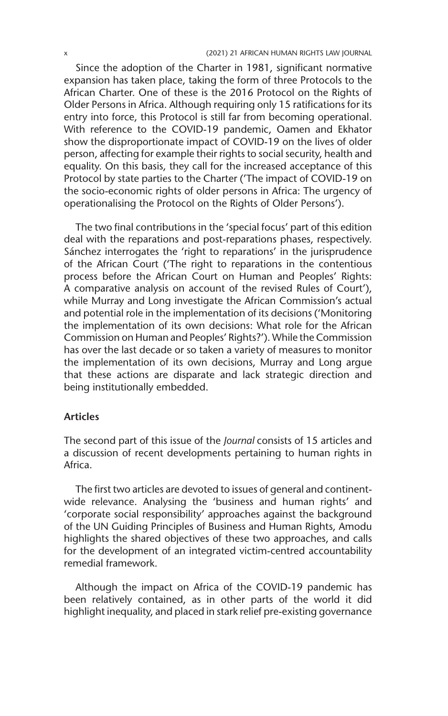Since the adoption of the Charter in 1981, significant normative expansion has taken place, taking the form of three Protocols to the African Charter. One of these is the 2016 Protocol on the Rights of Older Persons in Africa. Although requiring only 15 ratifications for its entry into force, this Protocol is still far from becoming operational. With reference to the COVID-19 pandemic, Oamen and Ekhator show the disproportionate impact of COVID-19 on the lives of older person, affecting for example their rights to social security, health and equality. On this basis, they call for the increased acceptance of this Protocol by state parties to the Charter ('The impact of COVID-19 on the socio-economic rights of older persons in Africa: The urgency of operationalising the Protocol on the Rights of Older Persons').

The two final contributions in the 'special focus' part of this edition deal with the reparations and post-reparations phases, respectively. Sánchez interrogates the 'right to reparations' in the jurisprudence of the African Court ('The right to reparations in the contentious process before the African Court on Human and Peoples' Rights: A comparative analysis on account of the revised Rules of Court'), while Murray and Long investigate the African Commission's actual and potential role in the implementation of its decisions ('Monitoring the implementation of its own decisions: What role for the African Commission on Human and Peoples' Rights?'). While the Commission has over the last decade or so taken a variety of measures to monitor the implementation of its own decisions, Murray and Long argue that these actions are disparate and lack strategic direction and being institutionally embedded.

### **Articles**

The second part of this issue of the *Journal* consists of 15 articles and a discussion of recent developments pertaining to human rights in Africa.

The first two articles are devoted to issues of general and continentwide relevance. Analysing the 'business and human rights' and 'corporate social responsibility' approaches against the background of the UN Guiding Principles of Business and Human Rights, Amodu highlights the shared objectives of these two approaches, and calls for the development of an integrated victim-centred accountability remedial framework.

Although the impact on Africa of the COVID-19 pandemic has been relatively contained, as in other parts of the world it did highlight inequality, and placed in stark relief pre-existing governance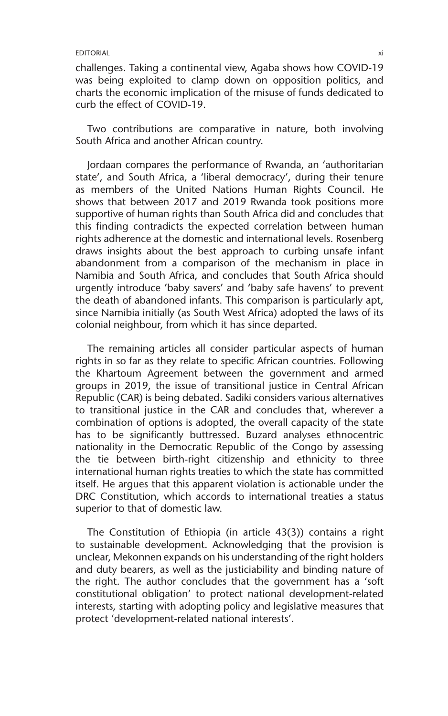#### EDITORIAL xi

challenges. Taking a continental view, Agaba shows how COVID-19 was being exploited to clamp down on opposition politics, and charts the economic implication of the misuse of funds dedicated to curb the effect of COVID-19.

Two contributions are comparative in nature, both involving South Africa and another African country.

Jordaan compares the performance of Rwanda, an 'authoritarian state', and South Africa, a 'liberal democracy', during their tenure as members of the United Nations Human Rights Council. He shows that between 2017 and 2019 Rwanda took positions more supportive of human rights than South Africa did and concludes that this finding contradicts the expected correlation between human rights adherence at the domestic and international levels. Rosenberg draws insights about the best approach to curbing unsafe infant abandonment from a comparison of the mechanism in place in Namibia and South Africa, and concludes that South Africa should urgently introduce 'baby savers' and 'baby safe havens' to prevent the death of abandoned infants. This comparison is particularly apt, since Namibia initially (as South West Africa) adopted the laws of its colonial neighbour, from which it has since departed.

The remaining articles all consider particular aspects of human rights in so far as they relate to specific African countries. Following the Khartoum Agreement between the government and armed groups in 2019, the issue of transitional justice in Central African Republic (CAR) is being debated. Sadiki considers various alternatives to transitional justice in the CAR and concludes that, wherever a combination of options is adopted, the overall capacity of the state has to be significantly buttressed. Buzard analyses ethnocentric nationality in the Democratic Republic of the Congo by assessing the tie between birth-right citizenship and ethnicity to three international human rights treaties to which the state has committed itself. He argues that this apparent violation is actionable under the DRC Constitution, which accords to international treaties a status superior to that of domestic law.

The Constitution of Ethiopia (in article 43(3)) contains a right to sustainable development. Acknowledging that the provision is unclear, Mekonnen expands on his understanding of the right holders and duty bearers, as well as the justiciability and binding nature of the right. The author concludes that the government has a 'soft constitutional obligation' to protect national development-related interests, starting with adopting policy and legislative measures that protect 'development-related national interests'.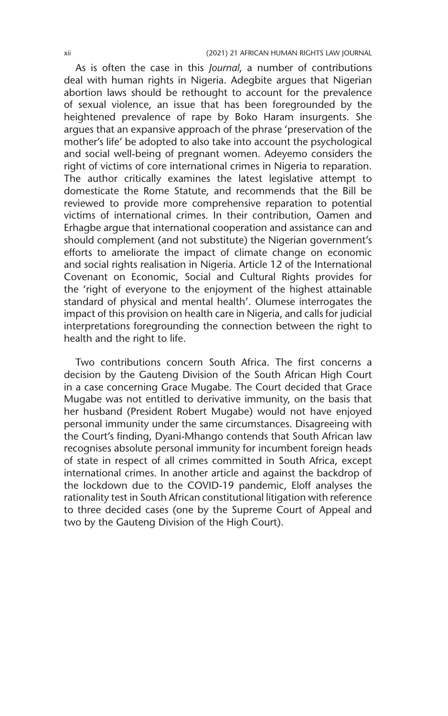As is often the case in this *Journal*, a number of contributions deal with human rights in Nigeria. Adegbite argues that Nigerian abortion laws should be rethought to account for the prevalence of sexual violence, an issue that has been foregrounded by the heightened prevalence of rape by Boko Haram insurgents. She argues that an expansive approach of the phrase 'preservation of the mother's life' be adopted to also take into account the psychological and social well-being of pregnant women. Adeyemo considers the right of victims of core international crimes in Nigeria to reparation. The author critically examines the latest legislative attempt to domesticate the Rome Statute, and recommends that the Bill be reviewed to provide more comprehensive reparation to potential victims of international crimes. In their contribution, Oamen and Erhagbe argue that international cooperation and assistance can and should complement (and not substitute) the Nigerian government's efforts to ameliorate the impact of climate change on economic and social rights realisation in Nigeria. Article 12 of the International Covenant on Economic, Social and Cultural Rights provides for the 'right of everyone to the enjoyment of the highest attainable standard of physical and mental health'. Olumese interrogates the impact of this provision on health care in Nigeria, and calls for judicial interpretations foregrounding the connection between the right to health and the right to life.

Two contributions concern South Africa. The first concerns a decision by the Gauteng Division of the South African High Court in a case concerning Grace Mugabe. The Court decided that Grace Mugabe was not entitled to derivative immunity, on the basis that her husband (President Robert Mugabe) would not have enjoyed personal immunity under the same circumstances. Disagreeing with the Court's finding, Dyani-Mhango contends that South African law recognises absolute personal immunity for incumbent foreign heads of state in respect of all crimes committed in South Africa, except international crimes. In another article and against the backdrop of the lockdown due to the COVID-19 pandemic, Eloff analyses the rationality test in South African constitutional litigation with reference to three decided cases (one by the Supreme Court of Appeal and two by the Gauteng Division of the High Court).